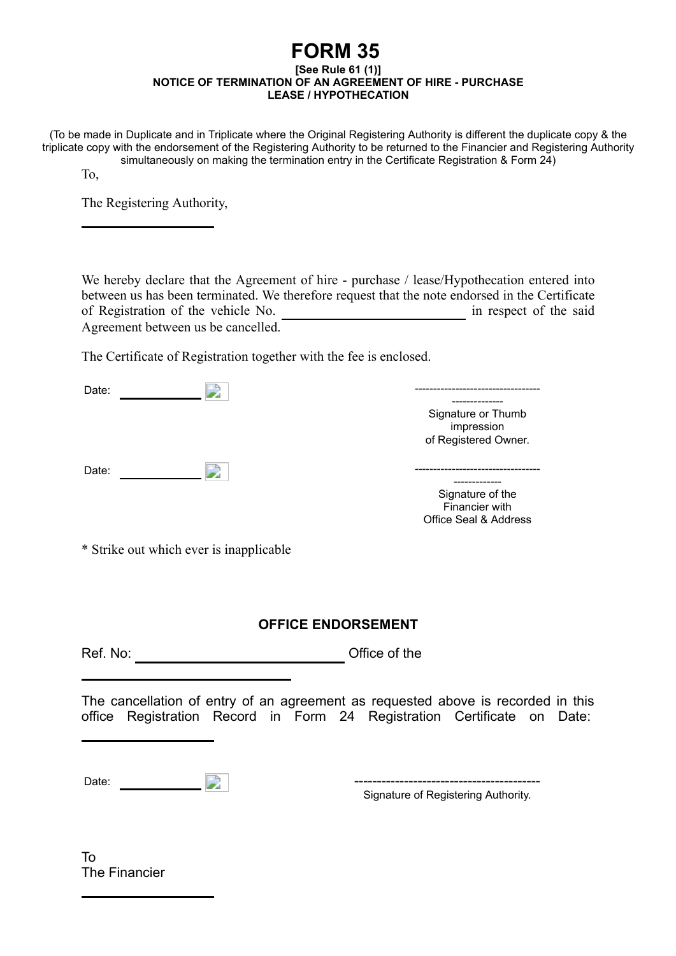## **FORM 35 [See Rule 61 (1)] NOTICE OF TERMINATION OF AN AGREEMENT OF HIRE - PURCHASE LEASE / HYPOTHECATION**

(To be made in Duplicate and in Triplicate where the Original Registering Authority is different the duplicate copy & the triplicate copy with the endorsement of the Registering Authority to be returned to the Financier and Registering Authority simultaneously on making the termination entry in the Certificate Registration & Form 24)

To,

The Registering Authority,

We hereby declare that the Agreement of hire - purchase / lease/Hypothecation entered into between us has been terminated. We therefore request that the note endorsed in the Certificate of Registration of the vehicle No. in respect of the said Agreement between us be cancelled.

The Certificate of Registration together with the fee is enclosed.

| Date: |                                                          |
|-------|----------------------------------------------------------|
|       | Signature or Thumb<br>impression<br>of Registered Owner. |
| Date: |                                                          |

------------- Signature of the

Financier with Office Seal & Address

\* Strike out which ever is inapplicable

## **OFFICE ENDORSEMENT**

Ref. No: Office of the

The cancellation of entry of an agreement as requested above is recorded in this office Registration Record in Form 24 Registration Certificate on Date:

Date:  $\Box$ 

Signature of Registering Authority.

To The Financier